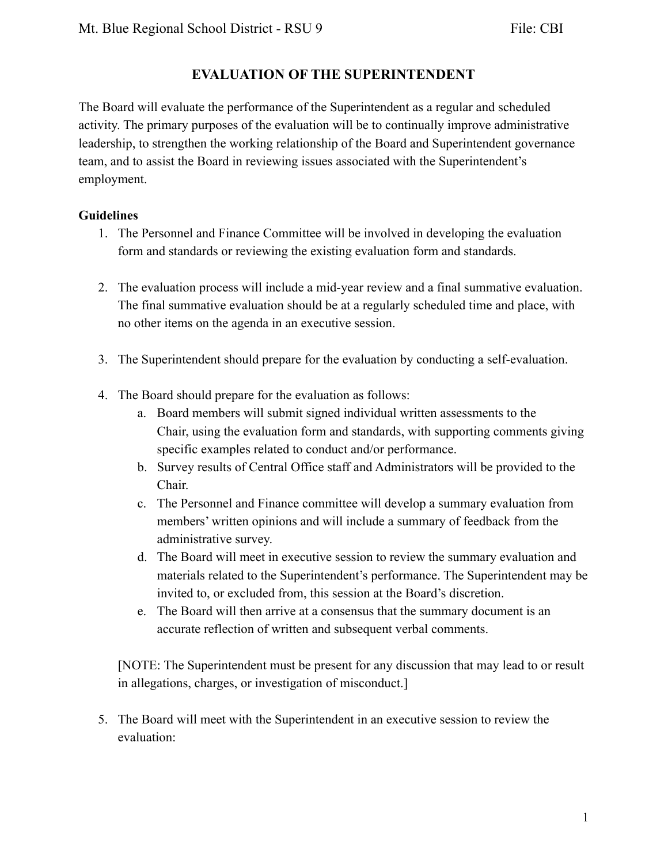### **EVALUATION OF THE SUPERINTENDENT**

The Board will evaluate the performance of the Superintendent as a regular and scheduled activity. The primary purposes of the evaluation will be to continually improve administrative leadership, to strengthen the working relationship of the Board and Superintendent governance team, and to assist the Board in reviewing issues associated with the Superintendent's employment.

#### **Guidelines**

- 1. The Personnel and Finance Committee will be involved in developing the evaluation form and standards or reviewing the existing evaluation form and standards.
- 2. The evaluation process will include a mid-year review and a final summative evaluation. The final summative evaluation should be at a regularly scheduled time and place, with no other items on the agenda in an executive session.
- 3. The Superintendent should prepare for the evaluation by conducting a self-evaluation.
- 4. The Board should prepare for the evaluation as follows:
	- a. Board members will submit signed individual written assessments to the Chair, using the evaluation form and standards, with supporting comments giving specific examples related to conduct and/or performance.
	- b. Survey results of Central Office staff and Administrators will be provided to the Chair.
	- c. The Personnel and Finance committee will develop a summary evaluation from members' written opinions and will include a summary of feedback from the administrative survey.
	- d. The Board will meet in executive session to review the summary evaluation and materials related to the Superintendent's performance. The Superintendent may be invited to, or excluded from, this session at the Board's discretion.
	- e. The Board will then arrive at a consensus that the summary document is an accurate reflection of written and subsequent verbal comments.

[NOTE: The Superintendent must be present for any discussion that may lead to or result in allegations, charges, or investigation of misconduct.]

5. The Board will meet with the Superintendent in an executive session to review the evaluation: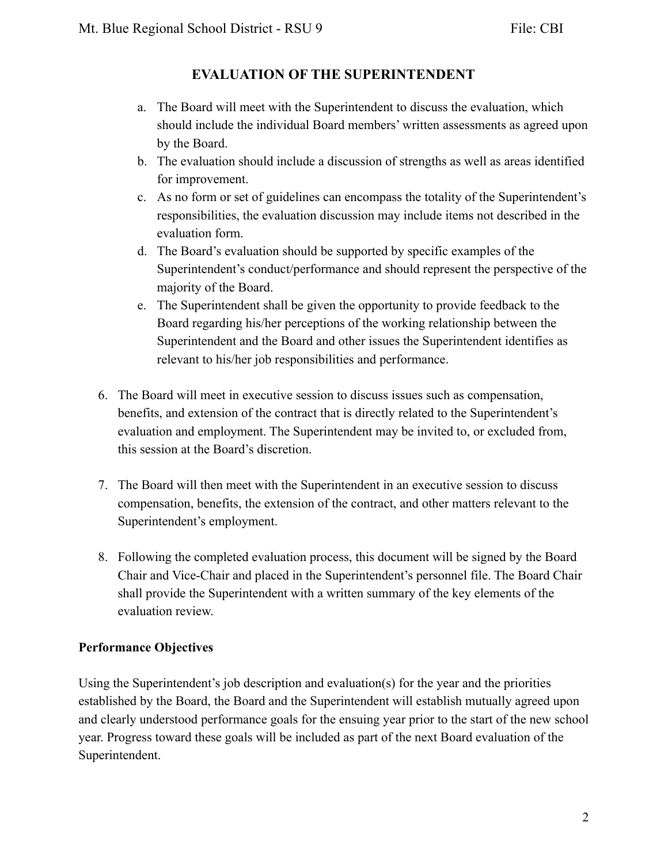## **EVALUATION OF THE SUPERINTENDENT**

- a. The Board will meet with the Superintendent to discuss the evaluation, which should include the individual Board members' written assessments as agreed upon by the Board.
- b. The evaluation should include a discussion of strengths as well as areas identified for improvement.
- c. As no form or set of guidelines can encompass the totality of the Superintendent's responsibilities, the evaluation discussion may include items not described in the evaluation form.
- d. The Board's evaluation should be supported by specific examples of the Superintendent's conduct/performance and should represent the perspective of the majority of the Board.
- e. The Superintendent shall be given the opportunity to provide feedback to the Board regarding his/her perceptions of the working relationship between the Superintendent and the Board and other issues the Superintendent identifies as relevant to his/her job responsibilities and performance.
- 6. The Board will meet in executive session to discuss issues such as compensation, benefits, and extension of the contract that is directly related to the Superintendent's evaluation and employment. The Superintendent may be invited to, or excluded from, this session at the Board's discretion.
- 7. The Board will then meet with the Superintendent in an executive session to discuss compensation, benefits, the extension of the contract, and other matters relevant to the Superintendent's employment.
- 8. Following the completed evaluation process, this document will be signed by the Board Chair and Vice-Chair and placed in the Superintendent's personnel file. The Board Chair shall provide the Superintendent with a written summary of the key elements of the evaluation review.

#### **Performance Objectives**

Using the Superintendent's job description and evaluation(s) for the year and the priorities established by the Board, the Board and the Superintendent will establish mutually agreed upon and clearly understood performance goals for the ensuing year prior to the start of the new school year. Progress toward these goals will be included as part of the next Board evaluation of the Superintendent.